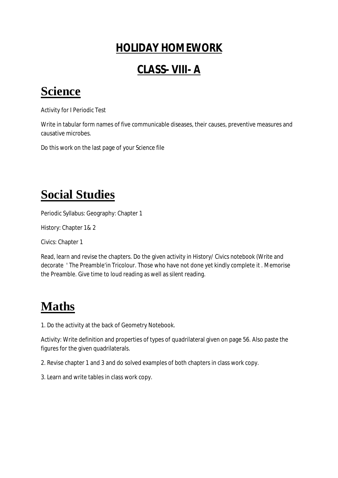#### **HOLIDAY HOMEWORK**

#### **CLASS- VIII- A**

### **Science**

Activity for I Periodic Test

Write in tabular form names of five communicable diseases, their causes, preventive measures and causative microbes.

Do this work on the last page of your Science file

### **Social Studies**

Periodic Syllabus: Geography: Chapter 1

History: Chapter 1& 2

Civics: Chapter 1

Read, learn and revise the chapters. Do the given activity in History/ Civics notebook (Write and decorate ' The Preamble'in Tricolour. Those who have not done yet kindly complete it . Memorise the Preamble. Give time to loud reading as well as silent reading.

### **Maths**

1. Do the activity at the back of Geometry Notebook.

Activity: Write definition and properties of types of quadrilateral given on page 56. Also paste the figures for the given quadrilaterals.

2. Revise chapter 1 and 3 and do solved examples of both chapters in class work copy.

3. Learn and write tables in class work copy.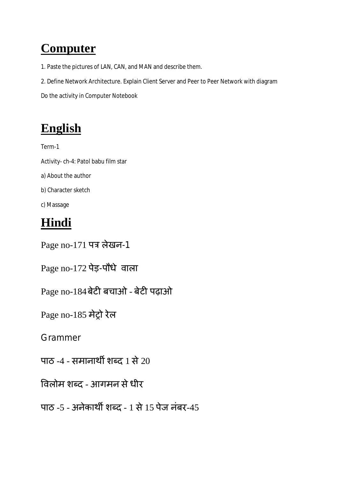# **Computer**

- 1. Paste the pictures of LAN, CAN, and MAN and describe them.
- 2. Define Network Architecture. Explain Client Server and Peer to Peer Network with diagram

Do the activity in Computer Notebook

## **English**

Term-1 Activity- ch-4: Patol babu film star a) About the author b) Character sketch c) Massage

### **Hindi**

Page no-171 पत्र लेखन-1

Page no-172 पेड़-पौधे वाला

Page no-184 बेटी बचाओ - बेटी पढ़ाओ

Page no-185 मेट्रो रेल

Grammer

पाठ -4 - समानार्थी शब्द 1 से  $20$ 

विलोम शब्द - आगमन से धीर

पाठ -5 - अनेकार्थी शब्द - 1 से 15 पेज नंबर-45